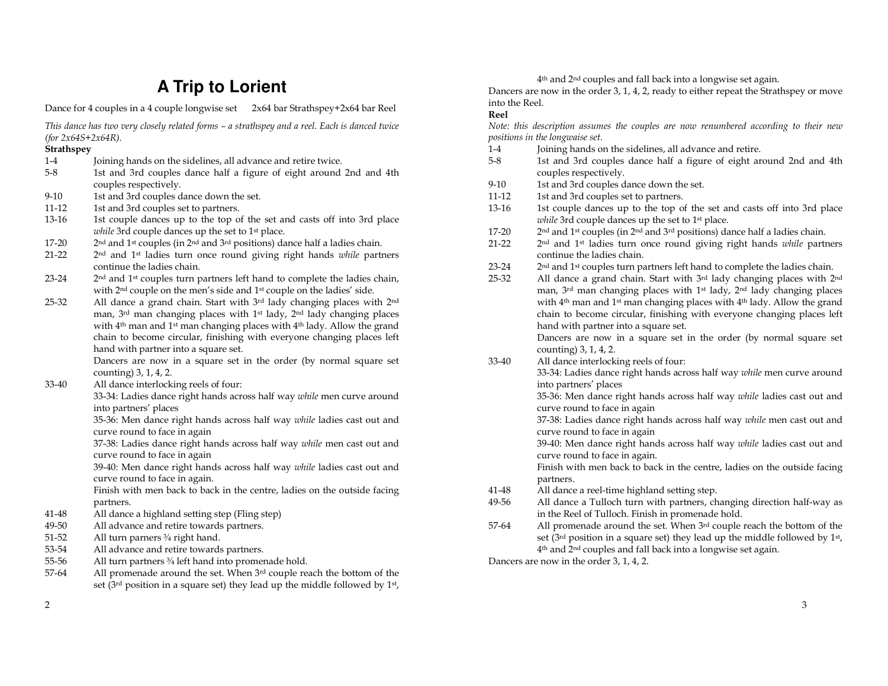## **A Trip to Lorient**

Dance for 4 couples in a 4 couple longwise set 2x64 bar Strathspey+2x64 bar Reel

| This dance has two very closely related forms - a strathspey and a reel. Each is danced twice |                                                                                                                                         |  |
|-----------------------------------------------------------------------------------------------|-----------------------------------------------------------------------------------------------------------------------------------------|--|
| (for $2x64S+2x64R$ ).                                                                         |                                                                                                                                         |  |
| <b>Strathspey</b>                                                                             |                                                                                                                                         |  |
| $1-4$                                                                                         | Joining hands on the sidelines, all advance and retire twice.                                                                           |  |
| $5-8$                                                                                         | 1st and 3rd couples dance half a figure of eight around 2nd and 4th                                                                     |  |
|                                                                                               | couples respectively.                                                                                                                   |  |
| $9 - 10$                                                                                      | 1st and 3rd couples dance down the set.                                                                                                 |  |
| 11-12                                                                                         | 1st and 3rd couples set to partners.                                                                                                    |  |
| 13-16                                                                                         | 1st couple dances up to the top of the set and casts off into 3rd place<br>while 3rd couple dances up the set to 1 <sup>st</sup> place. |  |
| 17-20                                                                                         | 2 <sup>nd</sup> and 1 <sup>st</sup> couples (in 2 <sup>nd</sup> and 3 <sup>rd</sup> positions) dance half a ladies chain.               |  |
| $21 - 22$                                                                                     | 2nd and 1st ladies turn once round giving right hands while partners                                                                    |  |
|                                                                                               | continue the ladies chain.                                                                                                              |  |
| 23-24                                                                                         | 2 <sup>nd</sup> and 1 <sup>st</sup> couples turn partners left hand to complete the ladies chain,                                       |  |
|                                                                                               | with 2 <sup>nd</sup> couple on the men's side and 1 <sup>st</sup> couple on the ladies' side.                                           |  |
| 25-32                                                                                         | All dance a grand chain. Start with 3rd lady changing places with 2nd                                                                   |  |
|                                                                                               | man, 3rd man changing places with 1 <sup>st</sup> lady, 2 <sup>nd</sup> lady changing places                                            |  |
|                                                                                               | with 4 <sup>th</sup> man and 1 <sup>st</sup> man changing places with 4 <sup>th</sup> lady. Allow the grand                             |  |
|                                                                                               | chain to become circular, finishing with everyone changing places left                                                                  |  |
|                                                                                               | hand with partner into a square set.                                                                                                    |  |
|                                                                                               | Dancers are now in a square set in the order (by normal square set<br>counting) 3, 1, 4, 2.                                             |  |
| 33-40                                                                                         | All dance interlocking reels of four:                                                                                                   |  |
|                                                                                               | 33-34: Ladies dance right hands across half way while men curve around                                                                  |  |
|                                                                                               | into partners' places                                                                                                                   |  |
|                                                                                               | 35-36: Men dance right hands across half way while ladies cast out and                                                                  |  |
|                                                                                               | curve round to face in again                                                                                                            |  |
|                                                                                               | 37-38: Ladies dance right hands across half way while men cast out and                                                                  |  |
|                                                                                               | curve round to face in again                                                                                                            |  |
|                                                                                               | 39-40: Men dance right hands across half way while ladies cast out and                                                                  |  |
|                                                                                               | curve round to face in again.                                                                                                           |  |
|                                                                                               | Finish with men back to back in the centre, ladies on the outside facing                                                                |  |
|                                                                                               | partners.                                                                                                                               |  |
| 41-48                                                                                         | All dance a highland setting step (Fling step)                                                                                          |  |
| 49-50                                                                                         | All advance and retire towards partners.                                                                                                |  |
| $51 - 52$                                                                                     | All turn parners 3/4 right hand.                                                                                                        |  |
| 53-54                                                                                         | All advance and retire towards partners.                                                                                                |  |
| 55-56                                                                                         | All turn partners 3/4 left hand into promenade hold.                                                                                    |  |
| 57-64                                                                                         | All promenade around the set. When 3rd couple reach the bottom of the                                                                   |  |
|                                                                                               | set (3rd position in a square set) they lead up the middle followed by 1st,                                                             |  |

<sup>4</sup>th and 2nd couples and fall back into a longwise set again.

Dancers are now in the order 3, 1, 4, 2, ready to either repeat the Strathspey or move into the Reel.

## Reel

 Note: this description assumes the couples are now renumbered according to their new positions in the longwaise set.

- 1-4 Joining hands on the sidelines, all advance and retire.
- 5-8 1st and 3rd couples dance half a figure of eight around 2nd and 4th couples respectively.
- 9-10 1st and 3rd couples dance down the set.
- 11-12 1st and 3rd couples set to partners.
- 13-16 1st couple dances up to the top of the set and casts off into 3rd place while 3rd couple dances up the set to 1<sup>st</sup> place.
- 17-20 2nd and 1st couples (in 2nd and 3rd positions) dance half a ladies chain.
- 21-22 2<sup>nd</sup> and 1<sup>st</sup> ladies turn once round giving right hands while partners continue the ladies chain.
- $23-24$  2<sup>nd</sup> and 1<sup>st</sup> couples turn partners left hand to complete the ladies chain.
- 25-32 All dance a grand chain. Start with 3<sup>rd</sup> lady changing places with 2<sup>nd</sup> man, 3rd man changing places with 1st lady, 2nd lady changing places with 4th man and 1st man changing places with 4th lady. Allow the grand chain to become circular, finishing with everyone changing places left hand with partner into a square set.

 Dancers are now in a square set in the order (by normal square set counting) 3, 1, 4, 2.

33-40 All dance interlocking reels of four:

 33-34: Ladies dance right hands across half way while men curve around into partners' places

 35-36: Men dance right hands across half way while ladies cast out and curve round to face in again

 37-38: Ladies dance right hands across half way while men cast out and curve round to face in again

 39-40: Men dance right hands across half way while ladies cast out and curve round to face in again.

 Finish with men back to back in the centre, ladies on the outside facing partners.

- 41-48 All dance a reel-time highland setting step.
- 49-56 All dance a Tulloch turn with partners, changing direction half-way as in the Reel of Tulloch. Finish in promenade hold.
- 57-64 All promenade around the set. When 3<sup>rd</sup> couple reach the bottom of the set (3rd position in a square set) they lead up the middle followed by 1st, <sup>4</sup>th and 2nd couples and fall back into a longwise set again.

Dancers are now in the order 3, 1, 4, 2.